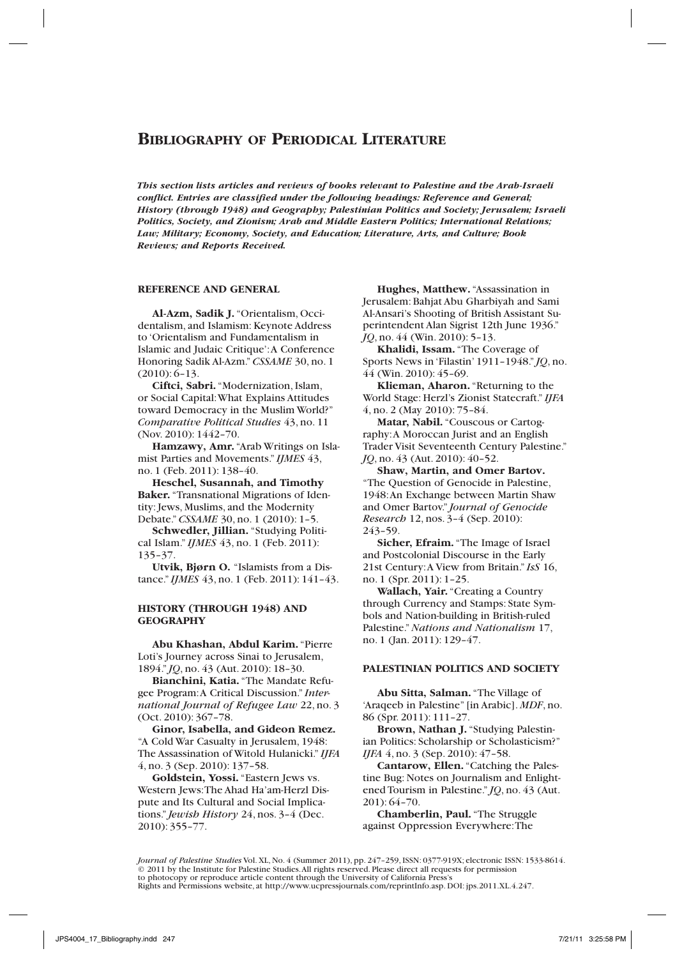*This section lists articles and reviews of books relevant to Palestine and the Arab-Israeli conflict. Entries are classified under the following headings: Reference and General; History (through 1948) and Geography; Palestinian Politics and Society; Jerusalem; Israeli Politics, Society, and Zionism; Arab and Middle Eastern Politics; International Relations; Law; Military; Economy, Society, and Education; Literature, Arts, and Culture; Book Reviews; and Reports Received.*

# **Reference and General**

**Al-Azm, Sadik J.** "Orientalism, Occidentalism, and Islamism: Keynote Address to 'Orientalism and Fundamentalism in Islamic and Judaic Critique': A Conference Honoring Sadik Al-Azm." *CSSAME* 30, no. 1 (2010): 6–13.

**Ciftci, Sabri.** "Modernization, Islam, or Social Capital: What Explains Attitudes toward Democracy in the Muslim World?" *Comparative Political Studies* 43, no. 11 (Nov. 2010): 1442–70.

**Hamzawy, Amr.** "Arab Writings on Islamist Parties and Movements." *IJMES* 43, no. 1 (Feb. 2011): 138–40.

**Heschel, Susannah, and Timothy Baker.** "Transnational Migrations of Identity: Jews, Muslims, and the Modernity Debate." *CSSAME* 30, no. 1 (2010): 1–5.

**Schwedler, Jillian.** "Studying Political Islam." *IJMES* 43, no. 1 (Feb. 2011): 135–37.

**Utvik, Bjørn O.** "Islamists from a Distance." *IJMES* 43, no. 1 (Feb. 2011): 141–43.

#### **History (through 1948) and Geography**

**Abu Khashan, Abdul Karim.** "Pierre Loti's Journey across Sinai to Jerusalem, 1894." *JQ*, no. 43 (Aut. 2010): 18–30.

**Bianchini, Katia.** "The Mandate Refugee Program: A Critical Discussion." *International Journal of Refugee Law* 22, no. 3 (Oct. 2010): 367–78.

**Ginor, Isabella, and Gideon Remez.** "A Cold War Casualty in Jerusalem, 1948: The Assassination of Witold Hulanicki." *IJFA* 4, no. 3 (Sep. 2010): 137–58.

**Goldstein, Yossi.** "Eastern Jews vs. Western Jews: The Ahad Ha'am-Herzl Dispute and Its Cultural and Social Implications." *Jewish History* 24, nos. 3–4 (Dec. 2010): 355–77.

**Hughes, Matthew.** "Assassination in Jerusalem: Bahjat Abu Gharbiyah and Sami Al-Ansari's Shooting of British Assistant Superintendent Alan Sigrist 12th June 1936." *JQ*, no. 44 (Win. 2010): 5–13.

**Khalidi, Issam.** "The Coverage of Sports News in 'Filastin' 1911–1948." *JQ*, no. 44 (Win. 2010): 45–69.

**Klieman, Aharon.** "Returning to the World Stage: Herzl's Zionist Statecraft." *IJFA* 4, no. 2 (May 2010): 75–84.

**Matar, Nabil.** "Couscous or Cartography: A Moroccan Jurist and an English Trader Visit Seventeenth Century Palestine." *JQ*, no. 43 (Aut. 2010): 40–52.

**Shaw, Martin, and Omer Bartov.** "The Question of Genocide in Palestine, 1948: An Exchange between Martin Shaw and Omer Bartov." *Journal of Genocide Research* 12, nos. 3–4 (Sep. 2010): 243–59.

**Sicher, Efraim.** "The Image of Israel and Postcolonial Discourse in the Early 21st Century: A View from Britain." *IsS* 16, no. 1 (Spr. 2011): 1–25.

**Wallach, Yair.** "Creating a Country through Currency and Stamps: State Symbols and Nation-building in British-ruled Palestine." *Nations and Nationalism* 17, no. 1 (Jan. 2011): 129–47.

### **Palestinian Politics and Society**

**Abu Sitta, Salman.** "The Village of 'Araqeeb in Palestine" [in Arabic]. *MDF*, no. 86 (Spr. 2011): 111–27.

**Brown, Nathan J.** "Studying Palestinian Politics: Scholarship or Scholasticism?" *IJFA* 4, no. 3 (Sep. 2010): 47–58.

**Cantarow, Ellen.** "Catching the Palestine Bug: Notes on Journalism and Enlightened Tourism in Palestine." *JQ*, no. 43 (Aut. 201): 64–70.

**Chamberlin, Paul.** "The Struggle against Oppression Everywhere: The

*Journal of Palestine Studies* Vol. XL, No. 4 (Summer 2011), pp. 247–259, ISSN: 0377-919X; electronic ISSN: 1533-8614. © 2011 by the Institute for Palestine Studies. All rights reserved. Please direct all requests for permission to photocopy or reproduce article content through the University of California Press's Rights and Permissions website, at http://www.ucpressjournals.com/reprintInfo.asp. DOI: jps.2011.XL.4.247.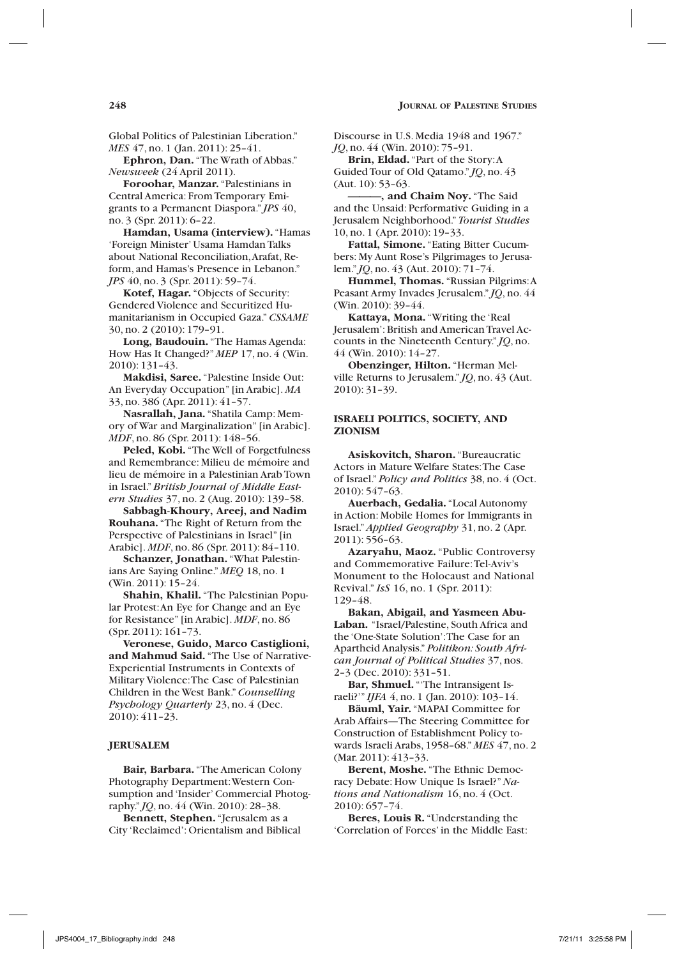Global Politics of Palestinian Liberation." *MES* 47, no. 1 (Jan. 2011): 25-41.

**Ephron, Dan.** "The Wrath of Abbas." *Newsweek* (24 April 2011).

**Foroohar, Manzar.** "Palestinians in Central America: From Temporary Emigrants to a Permanent Diaspora." *JPS* 40, no. 3 (Spr. 2011): 6–22.

**Hamdan, Usama (interview).** "Hamas 'Foreign Minister' Usama Hamdan Talks about National Reconciliation, Arafat, Reform, and Hamas's Presence in Lebanon." *JPS* 40, no. 3 (Spr. 2011): 59–74.

**Kotef, Hagar.** "Objects of Security: Gendered Violence and Securitized Humanitarianism in Occupied Gaza." *CSSAME* 30, no. 2 (2010): 179–91.

**Long, Baudouin.** "The Hamas Agenda: How Has It Changed?" *MEP* 17, no. 4 (Win. 2010): 131–43.

**Makdisi, Saree.** "Palestine Inside Out: An Everyday Occupation" [in Arabic]. *MA* 33, no. 386 (Apr. 2011): 41–57.

**Nasrallah, Jana.** "Shatila Camp: Memory of War and Marginalization" [in Arabic]. *MDF*, no. 86 (Spr. 2011): 148–56.

**Peled, Kobi.** "The Well of Forgetfulness and Remembrance: Milieu de mémoire and lieu de mémoire in a Palestinian Arab Town in Israel." *British Journal of Middle Eastern Studies* 37, no. 2 (Aug. 2010): 139–58.

**Sabbagh-Khoury, Areej, and Nadim Rouhana.** "The Right of Return from the Perspective of Palestinians in Israel" [in Arabic]. *MDF*, no. 86 (Spr. 2011): 84–110.

**Schanzer, Jonathan.** "What Palestinians Are Saying Online." *MEQ* 18, no. 1 (Win. 2011): 15–24.

**Shahin, Khalil.** "The Palestinian Popular Protest: An Eye for Change and an Eye for Resistance" [in Arabic]. *MDF*, no. 86 (Spr. 2011): 161–73.

**Veronese, Guido, Marco Castiglioni, and Mahmud Said.** "The Use of Narrative-Experiential Instruments in Contexts of Military Violence: The Case of Palestinian Children in the West Bank." *Counselling Psychology Quarterly* 23, no. 4 (Dec. 2010): 411–23.

### **JERUSALEM**

**Bair, Barbara.** "The American Colony Photography Department: Western Consumption and 'Insider' Commercial Photography." *JQ*, no. 44 (Win. 2010): 28–38.

**Bennett, Stephen.** "Jerusalem as a City 'Reclaimed': Orientalism and Biblical

Discourse in U.S. Media 1948 and 1967." *JQ*, no. 44 (Win. 2010): 75–91.

**Brin, Eldad.** "Part of the Story: A Guided Tour of Old Qatamo." *JQ*, no. 43 (Aut. 10): 53–63.

**———, and Chaim Noy.** "The Said and the Unsaid: Performative Guiding in a Jerusalem Neighborhood." *Tourist Studies* 10, no. 1 (Apr. 2010): 19–33.

**Fattal, Simone.** "Eating Bitter Cucumbers: My Aunt Rose's Pilgrimages to Jerusalem." *JQ*, no. 43 (Aut. 2010): 71–74.

**Hummel, Thomas.** "Russian Pilgrims: A Peasant Army Invades Jerusalem." *JQ*, no. 44 (Win. 2010): 39–44.

**Kattaya, Mona.** "Writing the 'Real Jerusalem': British and American Travel Accounts in the Nineteenth Century." *JQ*, no. 44 (Win. 2010): 14–27.

**Obenzinger, Hilton.** "Herman Melville Returns to Jerusalem." *JQ*, no. 43 (Aut. 2010): 31–39.

### **Israeli Politics, Society, and Zionism**

**Asiskovitch, Sharon.** "Bureaucratic Actors in Mature Welfare States: The Case of Israel." *Policy and Politics* 38, no. 4 (Oct. 2010): 547–63.

**Auerbach, Gedalia.** "Local Autonomy in Action: Mobile Homes for Immigrants in Israel." *Applied Geography* 31, no. 2 (Apr. 2011): 556–63.

**Azaryahu, Maoz.** "Public Controversy and Commemorative Failure: Tel-Aviv's Monument to the Holocaust and National Revival." *IsS* 16, no. 1 (Spr. 2011): 129–48.

**Bakan, Abigail, and Yasmeen Abu-Laban.** "Israel/Palestine, South Africa and the 'One-State Solution': The Case for an Apartheid Analysis." *Politikon: South African Journal of Political Studies* 37, nos. 2–3 (Dec. 2010): 331–51.

**Bar, Shmuel.** "'The Intransigent Israeli?'" *IJFA* 4, no. 1 (Jan. 2010): 103–14.

**Bäuml, Yair.** "MAPAI Committee for Arab Affairs—The Steering Committee for Construction of Establishment Policy towards Israeli Arabs, 1958–68." *MES* 47, no. 2 (Mar. 2011): 413–33.

**Berent, Moshe.** "The Ethnic Democracy Debate: How Unique Is Israel?" *Nations and Nationalism* 16, no. 4 (Oct. 2010): 657–74.

**Beres, Louis R.** "Understanding the 'Correlation of Forces' in the Middle East: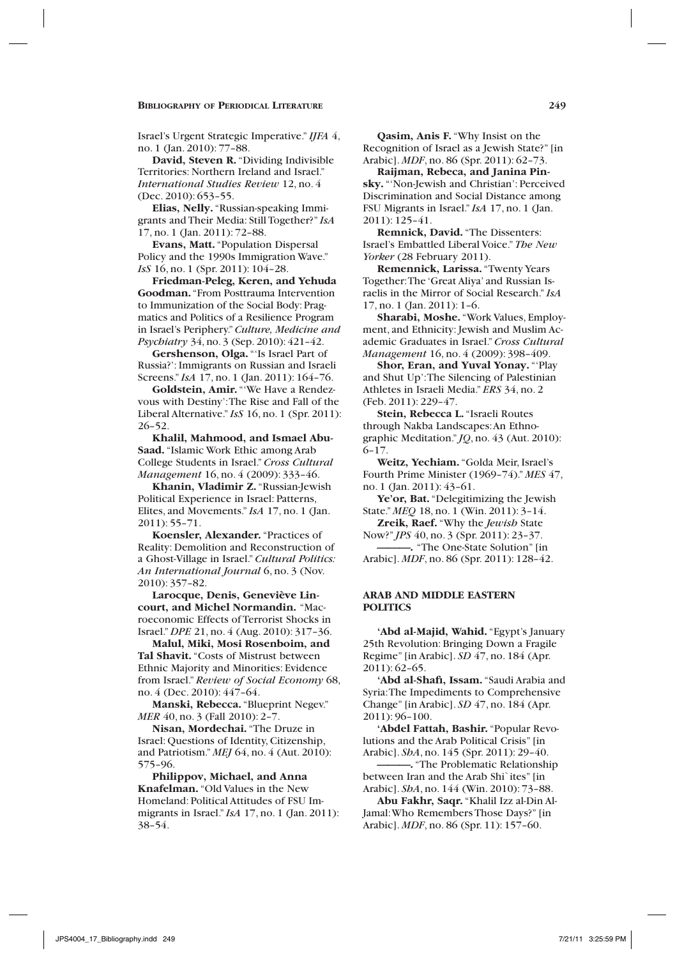Israel's Urgent Strategic Imperative." *IJFA* 4, no. 1 (Jan. 2010): 77–88.

**David, Steven R.** "Dividing Indivisible Territories: Northern Ireland and Israel." *International Studies Review* 12, no. 4 (Dec. 2010): 653–55.

**Elias, Nelly.** "Russian-speaking Immigrants and Their Media: Still Together?" *IsA* 17, no. 1 (Jan. 2011): 72–88.

**Evans, Matt.** "Population Dispersal Policy and the 1990s Immigration Wave." *IsS* 16, no. 1 (Spr. 2011): 104–28.

**Friedman-Peleg, Keren, and Yehuda Goodman.** "From Posttrauma Intervention to Immunization of the Social Body: Pragmatics and Politics of a Resilience Program in Israel's Periphery." *Culture, Medicine and Psychiatry* 34, no. 3 (Sep. 2010): 421–42.

**Gershenson, Olga.** "'Is Israel Part of Russia?': Immigrants on Russian and Israeli Screens." *IsA* 17, no. 1 (Jan. 2011): 164–76.

**Goldstein, Amir.** "'We Have a Rendezvous with Destiny': The Rise and Fall of the Liberal Alternative." *IsS* 16, no. 1 (Spr. 2011): 26–52.

**Khalil, Mahmood, and Ismael Abu-Saad.** "Islamic Work Ethic among Arab College Students in Israel." *Cross Cultural Management* 16, no. 4 (2009): 333–46.

**Khanin, Vladimir Z.** "Russian-Jewish Political Experience in Israel: Patterns, Elites, and Movements." *IsA* 17, no. 1 (Jan. 2011): 55–71.

**Koensler, Alexander.** "Practices of Reality: Demolition and Reconstruction of a Ghost-Village in Israel." *Cultural Politics: An International Journal* 6, no. 3 (Nov. 2010): 357–82.

**Larocque, Denis, Geneviève Lincourt, and Michel Normandin.** "Macroeconomic Effects of Terrorist Shocks in Israel." *DPE* 21, no. 4 (Aug. 2010): 317–36.

**Malul, Miki, Mosi Rosenboim, and Tal Shavit.** "Costs of Mistrust between Ethnic Majority and Minorities: Evidence from Israel." *Review of Social Economy* 68, no. 4 (Dec. 2010): 447–64.

**Manski, Rebecca.** "Blueprint Negev." *MER* 40, no. 3 (Fall 2010): 2–7.

**Nisan, Mordechai.** "The Druze in Israel: Questions of Identity, Citizenship, and Patriotism." *MEJ* 64, no. 4 (Aut. 2010): 575–96.

**Philippov, Michael, and Anna Knafelman.** "Old Values in the New Homeland: Political Attitudes of FSU Immigrants in Israel." *IsA* 17, no. 1 (Jan. 2011): 38–54.

**Qasim, Anis F.** "Why Insist on the Recognition of Israel as a Jewish State?" [in Arabic]. *MDF*, no. 86 (Spr. 2011): 62–73.

**Raijman, Rebeca, and Janina Pinsky.** "'Non-Jewish and Christian': Perceived Discrimination and Social Distance among FSU Migrants in Israel." *IsA* 17, no. 1 (Jan. 2011): 125–41.

**Remnick, David.** "The Dissenters: Israel's Embattled Liberal Voice." *The New Yorker* (28 February 2011).

**Remennick, Larissa.** "Twenty Years Together: The 'Great Aliya' and Russian Israelis in the Mirror of Social Research." *IsA* 17, no. 1 (Jan. 2011): 1–6.

**Sharabi, Moshe.** "Work Values, Employment, and Ethnicity: Jewish and Muslim Academic Graduates in Israel." *Cross Cultural Management* 16, no. 4 (2009): 398–409.

**Shor, Eran, and Yuval Yonay.** "'Play and Shut Up': The Silencing of Palestinian Athletes in Israeli Media." *ERS* 34, no. 2 (Feb. 2011): 229–47.

**Stein, Rebecca L.** "Israeli Routes through Nakba Landscapes: An Ethnographic Meditation." *JQ*, no. 43 (Aut. 2010): 6–17.

**Weitz, Yechiam.** "Golda Meir, Israel's Fourth Prime Minister (1969–74)." *MES* 47, no. 1 (Jan. 2011): 43–61.

**Ye'or, Bat.** "Delegitimizing the Jewish State." *MEQ* 18, no. 1 (Win. 2011): 3–14.

**Zreik, Raef.** "Why the *Jewish* State Now?" *JPS* 40, no. 3 (Spr. 2011): 23–37.

**———.** "The One-State Solution" [in Arabic]. *MDF*, no. 86 (Spr. 2011): 128–42.

### **Arab and Middle Eastern Politics**

**'Abd al-Majid, Wahid.** "Egypt's January 25th Revolution: Bringing Down a Fragile Regime" [in Arabic]. *SD* 47, no. 184 (Apr. 2011): 62–65.

**'Abd al-Shafi, Issam.** "Saudi Arabia and Syria: The Impediments to Comprehensive Change" [in Arabic]. *SD* 47, no. 184 (Apr. 2011): 96–100.

**'Abdel Fattah, Bashir.** "Popular Revolutions and the Arab Political Crisis" [in Arabic]. *ShA*, no. 145 (Spr. 2011): 29–40.

**———.** "The Problematic Relationship between Iran and the Arab Shi`ites" [in Arabic]. *ShA*, no. 144 (Win. 2010): 73–88.

**Abu Fakhr, Saqr.** "Khalil Izz al-Din Al-Jamal: Who Remembers Those Days?" [in Arabic]. *MDF*, no. 86 (Spr. 11): 157–60.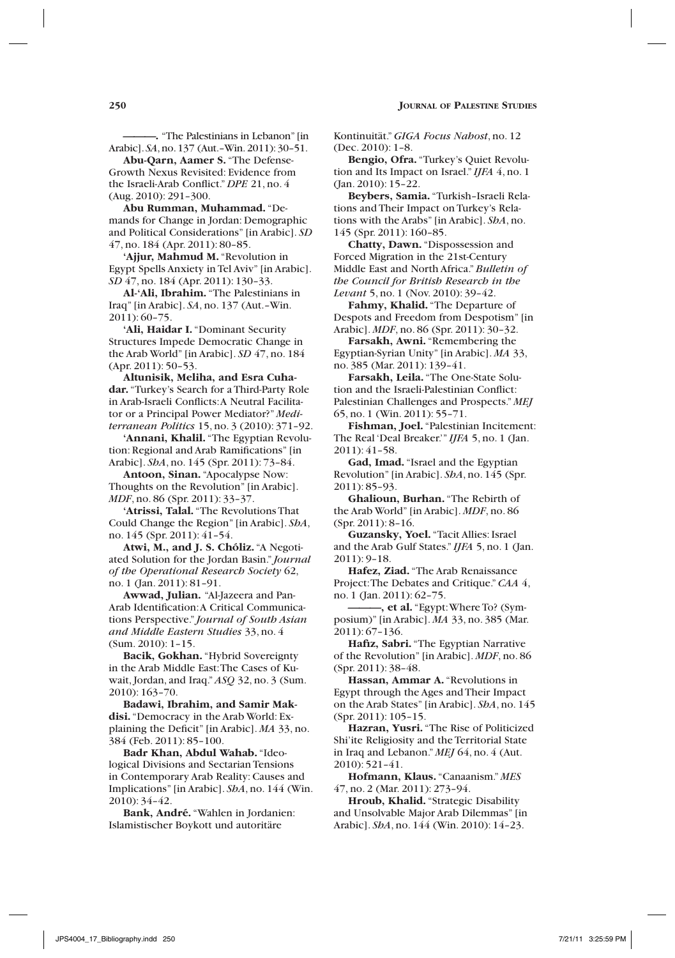**———.** "The Palestinians in Lebanon" [in Arabic]. *SA*, no. 137 (Aut.–Win. 2011): 30–51.

**Abu-Qarn, Aamer S.** "The Defense-Growth Nexus Revisited: Evidence from the Israeli-Arab Conflict." *DPE* 21, no. 4 (Aug. 2010): 291–300.

**Abu Rumman, Muhammad.** "Demands for Change in Jordan: Demographic and Political Considerations" [in Arabic]. *SD* 47, no. 184 (Apr. 2011): 80–85.

**'Ajjur, Mahmud M.** "Revolution in Egypt Spells Anxiety in Tel Aviv" [in Arabic]. *SD* 47, no. 184 (Apr. 2011): 130–33.

**Al-'Ali, Ibrahim.** "The Palestinians in Iraq" [in Arabic]. *SA*, no. 137 (Aut.–Win. 2011): 60–75.

**'Ali, Haidar I.** "Dominant Security Structures Impede Democratic Change in the Arab World" [in Arabic]. *SD* 47, no. 184 (Apr. 2011): 50–53.

**Altunisik, Meliha, and Esra Cuhadar.** "Turkey's Search for a Third-Party Role in Arab-Israeli Conflicts: A Neutral Facilitator or a Principal Power Mediator?" *Mediterranean Politics* 15, no. 3 (2010): 371–92.

**'Annani, Khalil.** "The Egyptian Revolution: Regional and Arab Ramifications" [in Arabic]. *ShA*, no. 145 (Spr. 2011): 73–84.

**Antoon, Sinan.** "Apocalypse Now: Thoughts on the Revolution" [in Arabic]. *MDF*, no. 86 (Spr. 2011): 33–37.

**'Atrissi, Talal.** "The Revolutions That Could Change the Region" [in Arabic]. *ShA*, no. 145 (Spr. 2011): 41–54.

**Atwi, M., and J. S. Chóliz.** "A Negotiated Solution for the Jordan Basin." *Journal of the Operational Research Society* 62, no. 1 (Jan. 2011): 81–91.

**Awwad, Julian.** "Al-Jazeera and Pan-Arab Identification: A Critical Communications Perspective." *Journal of South Asian and Middle Eastern Studies* 33, no. 4 (Sum. 2010): 1–15.

**Bacik, Gokhan.** "Hybrid Sovereignty in the Arab Middle East: The Cases of Kuwait, Jordan, and Iraq." *ASQ* 32, no. 3 (Sum. 2010): 163–70.

**Badawi, Ibrahim, and Samir Makdisi.** "Democracy in the Arab World: Explaining the Deficit" [in Arabic]. *MA* 33, no. 384 (Feb. 2011): 85–100.

**Badr Khan, Abdul Wahab.** "Ideological Divisions and Sectarian Tensions in Contemporary Arab Reality: Causes and Implications" [in Arabic]. *ShA*, no. 144 (Win. 2010): 34–42.

**Bank, André.** "Wahlen in Jordanien: Islamistischer Boykott und autoritäre

Kontinuität." *GIGA Focus Nahost*, no. 12 (Dec. 2010): 1–8.

**Bengio, Ofra.** "Turkey's Quiet Revolution and Its Impact on Israel." *IJFA* 4, no. 1 (Jan. 2010): 15–22.

**Beybers, Samia.** "Turkish–Israeli Relations and Their Impact on Turkey's Relations with the Arabs" [in Arabic]. *ShA*, no. 145 (Spr. 2011): 160–85.

**Chatty, Dawn.** "Dispossession and Forced Migration in the 21st-Century Middle East and North Africa." *Bulletin of the Council for British Research in the Levant* 5, no. 1 (Nov. 2010): 39–42.

**Fahmy, Khalid.** "The Departure of Despots and Freedom from Despotism" [in Arabic]. *MDF*, no. 86 (Spr. 2011): 30–32.

**Farsakh, Awni.** "Remembering the Egyptian-Syrian Unity" [in Arabic]. *MA* 33, no. 385 (Mar. 2011): 139–41.

**Farsakh, Leila.** "The One-State Solution and the Israeli-Palestinian Conflict: Palestinian Challenges and Prospects." *MEJ* 65, no. 1 (Win. 2011): 55–71.

**Fishman, Joel.** "Palestinian Incitement: The Real 'Deal Breaker.'" *IJFA* 5, no. 1 (Jan. 2011): 41–58.

**Gad, Imad.** "Israel and the Egyptian Revolution" [in Arabic]. *ShA*, no. 145 (Spr. 2011): 85–93.

**Ghalioun, Burhan.** "The Rebirth of the Arab World" [in Arabic]. *MDF*, no. 86 (Spr. 2011): 8–16.

**Guzansky, Yoel.** "Tacit Allies: Israel and the Arab Gulf States." *IJFA* 5, no. 1 (Jan. 2011): 9–18.

**Hafez, Ziad.** "The Arab Renaissance Project: The Debates and Critique." *CAA* 4, no. 1 (Jan. 2011): 62–75.

-, et al. "Egypt: Where To? (Symposium)" [in Arabic]. *MA* 33, no. 385 (Mar. 2011): 67–136.

**Hafiz, Sabri.** "The Egyptian Narrative of the Revolution" [in Arabic]. *MDF*, no. 86 (Spr. 2011): 38–48.

**Hassan, Ammar A.** "Revolutions in Egypt through the Ages and Their Impact on the Arab States" [in Arabic]. *ShA*, no. 145 (Spr. 2011): 105–15.

**Hazran, Yusri.** "The Rise of Politicized Shi'ite Religiosity and the Territorial State in Iraq and Lebanon." *MEJ* 64, no. 4 (Aut. 2010): 521–41.

**Hofmann, Klaus.** "Canaanism." *MES* 47, no. 2 (Mar. 2011): 273–94.

**Hroub, Khalid.** "Strategic Disability and Unsolvable Major Arab Dilemmas" [in Arabic]. *ShA*, no. 144 (Win. 2010): 14–23.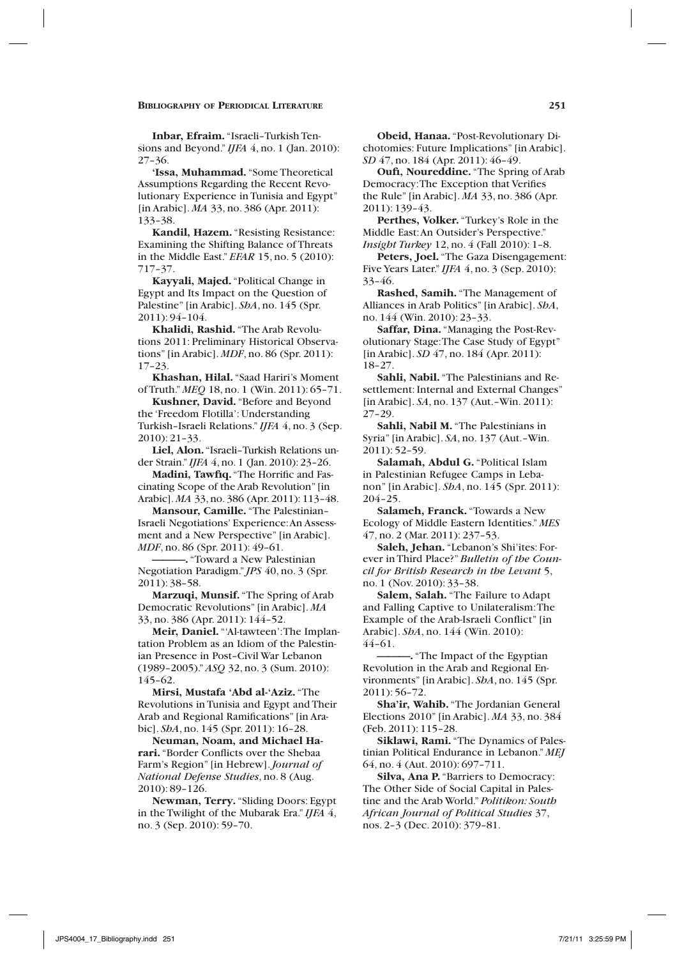**Inbar, Efraim.** "Israeli–Turkish Tensions and Beyond." *IJFA* 4, no. 1 (Jan. 2010): 27–36.

**'Issa, Muhammad.** "Some Theoretical Assumptions Regarding the Recent Revolutionary Experience in Tunisia and Egypt" [in Arabic]. *MA* 33, no. 386 (Apr. 2011): 133–38.

**Kandil, Hazem.** "Resisting Resistance: Examining the Shifting Balance of Threats in the Middle East." *EFAR* 15, no. 5 (2010): 717–37.

**Kayyali, Majed.** "Political Change in Egypt and Its Impact on the Question of Palestine" [in Arabic]. *ShA*, no. 145 (Spr. 2011): 94–104.

**Khalidi, Rashid.** "The Arab Revolutions 2011: Preliminary Historical Observations" [in Arabic]. *MDF*, no. 86 (Spr. 2011): 17–23.

**Khashan, Hilal.** "Saad Hariri's Moment of Truth." *MEQ* 18, no. 1 (Win. 2011): 65–71.

**Kushner, David.** "Before and Beyond the 'Freedom Flotilla': Understanding Turkish–Israeli Relations." *IJFA* 4, no. 3 (Sep. 2010): 21–33.

**Liel, Alon.** "Israeli–Turkish Relations under Strain." *IJFA* 4, no. 1 (Jan. 2010): 23–26.

**Madini, Tawfiq.** "The Horrific and Fascinating Scope of the Arab Revolution" [in Arabic]. *MA* 33, no. 386 (Apr. 2011): 113–48.

**Mansour, Camille.** "The Palestinian– Israeli Negotiations' Experience: An Assessment and a New Perspective" [in Arabic]. *MDF*, no. 86 (Spr. 2011): 49–61.

**———.** "Toward a New Palestinian Negotiation Paradigm." *JPS* 40, no. 3 (Spr. 2011): 38–58.

**Marzuqi, Munsif.** "The Spring of Arab Democratic Revolutions" [in Arabic]. *MA* 33, no. 386 (Apr. 2011): 144–52.

Meir, Daniel. "Al-tawteen': The Implantation Problem as an Idiom of the Palestinian Presence in Post–Civil War Lebanon (1989–2005)." *ASQ* 32, no. 3 (Sum. 2010): 145–62.

**Mirsi, Mustafa 'Abd al-'Aziz.** "The Revolutions in Tunisia and Egypt and Their Arab and Regional Ramifications" [in Arabic]. *ShA*, no. 145 (Spr. 2011): 16–28.

**Neuman, Noam, and Michael Harari.** "Border Conflicts over the Shebaa Farm's Region" [in Hebrew]. *Journal of National Defense Studies*, no. 8 (Aug. 2010): 89–126.

**Newman, Terry.** "Sliding Doors: Egypt in the Twilight of the Mubarak Era." *IJFA* 4, no. 3 (Sep. 2010): 59–70.

**Obeid, Hanaa.** "Post-Revolutionary Dichotomies: Future Implications" [in Arabic]. *SD* 47, no. 184 (Apr. 2011): 46–49.

**Oufi, Noureddine.** "The Spring of Arab Democracy: The Exception that Verifies the Rule" [in Arabic]. *MA* 33, no. 386 (Apr. 2011): 139–43.

**Perthes, Volker.** "Turkey's Role in the Middle East: An Outsider's Perspective." *Insight Turkey* 12, no. 4 (Fall 2010): 1–8.

**Peters, Joel.** "The Gaza Disengagement: Five Years Later." *IJFA* 4, no. 3 (Sep. 2010): 33–46.

**Rashed, Samih.** "The Management of Alliances in Arab Politics" [in Arabic]. *ShA*, no. 144 (Win. 2010): 23–33.

**Saffar, Dina.** "Managing the Post-Revolutionary Stage: The Case Study of Egypt" [in Arabic]. *SD* 47, no. 184 (Apr. 2011): 18–27.

**Sahli, Nabil.** "The Palestinians and Resettlement: Internal and External Changes" [in Arabic]. *SA*, no. 137 (Aut.–Win. 2011): 27–29.

**Sahli, Nabil M.** "The Palestinians in Syria" [in Arabic]. *SA*, no. 137 (Aut.–Win. 2011): 52–59.

**Salamah, Abdul G.** "Political Islam in Palestinian Refugee Camps in Lebanon" [in Arabic]. *ShA*, no. 145 (Spr. 2011): 204–25.

**Salameh, Franck.** "Towards a New Ecology of Middle Eastern Identities." *MES* 47, no. 2 (Mar. 2011): 237–53.

**Saleh, Jehan.** "Lebanon's Shi'ites: Forever in Third Place?" *Bulletin of the Council for British Research in the Levant* 5, no. 1 (Nov. 2010): 33–38.

**Salem, Salah.** "The Failure to Adapt and Falling Captive to Unilateralism: The Example of the Arab-Israeli Conflict" [in Arabic]. *ShA*, no. 144 (Win. 2010): 44–61.

**———.** "The Impact of the Egyptian Revolution in the Arab and Regional Environments" [in Arabic]. *ShA*, no. 145 (Spr. 2011): 56–72.

**Sha'ir, Wahib.** "The Jordanian General Elections 2010" [in Arabic]. *MA* 33, no. 384 (Feb. 2011): 115–28.

**Siklawi, Rami.** "The Dynamics of Palestinian Political Endurance in Lebanon." *MEJ* 64, no. 4 (Aut. 2010): 697–711.

**Silva, Ana P.** "Barriers to Democracy: The Other Side of Social Capital in Palestine and the Arab World." *Politikon: South African Journal of Political Studies* 37, nos. 2–3 (Dec. 2010): 379–81.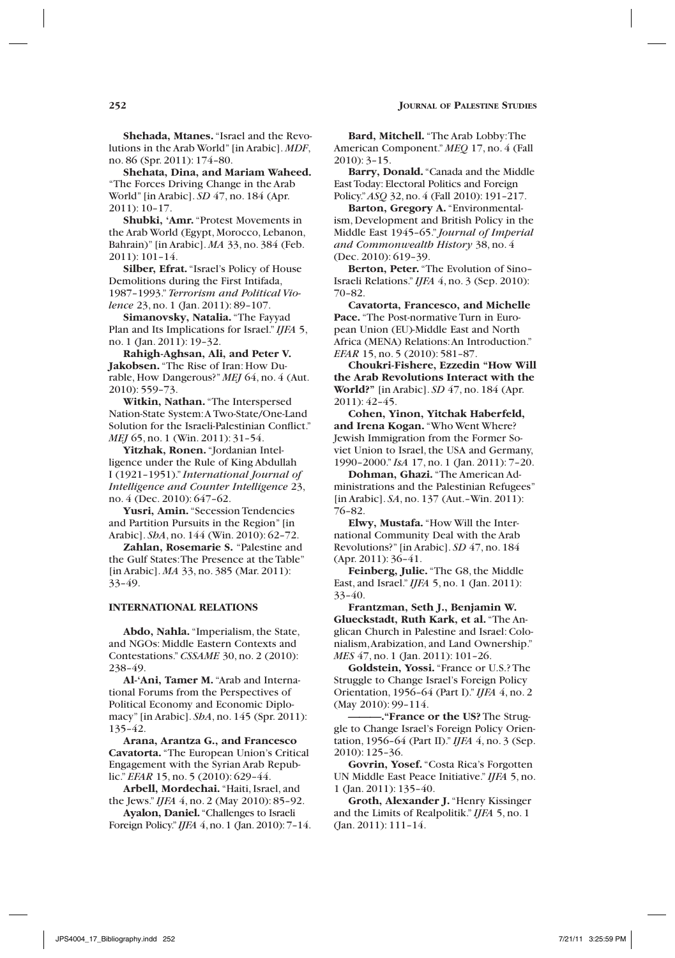**Shehada, Mtanes.** "Israel and the Revolutions in the Arab World" [in Arabic]. *MDF*, no. 86 (Spr. 2011): 174–80.

**Shehata, Dina, and Mariam Waheed.** "The Forces Driving Change in the Arab World" [in Arabic]. *SD* 47, no. 184 (Apr. 2011): 10–17.

**Shubki, 'Amr.** "Protest Movements in the Arab World (Egypt, Morocco, Lebanon, Bahrain)" [in Arabic]. *MA* 33, no. 384 (Feb. 2011): 101–14.

**Silber, Efrat.** "Israel's Policy of House Demolitions during the First Intifada, 1987–1993." *Terrorism and Political Violence* 23, no. 1 (Jan. 2011): 89-107.

**Simanovsky, Natalia.** "The Fayyad Plan and Its Implications for Israel." *IJFA* 5, no. 1 (Jan. 2011): 19–32.

**Rahigh-Aghsan, Ali, and Peter V. Jakobsen.** "The Rise of Iran: How Durable, How Dangerous?" *MEJ* 64, no. 4 (Aut. 2010): 559–73.

**Witkin, Nathan.** "The Interspersed Nation-State System: A Two-State/One-Land Solution for the Israeli-Palestinian Conflict." *MEJ* 65, no. 1 (Win. 2011): 31-54.

**Yitzhak, Ronen.** "Jordanian Intelligence under the Rule of King Abdullah I (1921–1951)." *International Journal of Intelligence and Counter Intelligence* 23, no. 4 (Dec. 2010): 647–62.

**Yusri, Amin.** "Secession Tendencies and Partition Pursuits in the Region" [in Arabic]. *ShA*, no. 144 (Win. 2010): 62–72.

**Zahlan, Rosemarie S.** "Palestine and the Gulf States: The Presence at the Table" [in Arabic]. *MA* 33, no. 385 (Mar. 2011): 33–49.

# **International Relations**

**Abdo, Nahla.** "Imperialism, the State, and NGOs: Middle Eastern Contexts and Contestations." *CSSAME* 30, no. 2 (2010): 238–49.

**Al-'Ani, Tamer M.** "Arab and International Forums from the Perspectives of Political Economy and Economic Diplomacy" [in Arabic]. *ShA*, no. 145 (Spr. 2011): 135–42.

**Arana, Arantza G., and Francesco Cavatorta.** "The European Union's Critical Engagement with the Syrian Arab Republic." *EFAR* 15, no. 5 (2010): 629–44.

**Arbell, Mordechai.** "Haiti, Israel, and the Jews." *IJFA* 4, no. 2 (May 2010): 85–92.

**Ayalon, Daniel.** "Challenges to Israeli Foreign Policy." *IJFA* 4, no. 1 (Jan. 2010): 7–14.

**Bard, Mitchell.** "The Arab Lobby: The American Component." *MEQ* 17, no. 4 (Fall 2010): 3–15.

**Barry, Donald.** "Canada and the Middle East Today: Electoral Politics and Foreign Policy." *ASQ* 32, no. 4 (Fall 2010): 191–217.

**Barton, Gregory A.** "Environmentalism, Development and British Policy in the Middle East 1945–65." *Journal of Imperial and Commonwealth History* 38, no. 4 (Dec. 2010): 619–39.

**Berton, Peter.** "The Evolution of Sino– Israeli Relations." *IJFA* 4, no. 3 (Sep. 2010): 70–82.

**Cavatorta, Francesco, and Michelle Pace.** "The Post-normative Turn in European Union (EU)-Middle East and North Africa (MENA) Relations: An Introduction." *EFAR* 15, no. 5 (2010): 581–87.

**Choukri-Fishere, Ezzedin "How Will the Arab Revolutions Interact with the World?"** [in Arabic]. *SD* 47, no. 184 (Apr. 2011): 42–45.

**Cohen, Yinon, Yitchak Haberfeld, and Irena Kogan.** "Who Went Where? Jewish Immigration from the Former Soviet Union to Israel, the USA and Germany, 1990–2000." *IsA* 17, no. 1 (Jan. 2011): 7–20.

**Dohman, Ghazi.** "The American Administrations and the Palestinian Refugees" [in Arabic]. *SA*, no. 137 (Aut.–Win. 2011): 76–82.

**Elwy, Mustafa.** "How Will the International Community Deal with the Arab Revolutions?" [in Arabic]. *SD* 47, no. 184 (Apr. 2011): 36–41.

**Feinberg, Julie.** "The G8, the Middle East, and Israel." *IJFA* 5, no. 1 (Jan. 2011): 33–40.

**Frantzman, Seth J., Benjamin W. Glueckstadt, Ruth Kark, et al.** "The Anglican Church in Palestine and Israel: Colonialism, Arabization, and Land Ownership." *MES* 47, no. 1 (Jan. 2011): 101–26.

**Goldstein, Yossi.** "France or U.S.? The Struggle to Change Israel's Foreign Policy Orientation, 1956–64 (Part I)." *IJFA* 4, no. 2 (May 2010): 99–114.

**———."France or the US?** The Struggle to Change Israel's Foreign Policy Orientation, 1956–64 (Part II)." *IJFA* 4, no. 3 (Sep. 2010): 125–36.

**Govrin, Yosef.** "Costa Rica's Forgotten UN Middle East Peace Initiative." *IJFA* 5, no. 1 (Jan. 2011): 135–40.

**Groth, Alexander J.** "Henry Kissinger and the Limits of Realpolitik." *IJFA* 5, no. 1 (Jan. 2011): 111–14.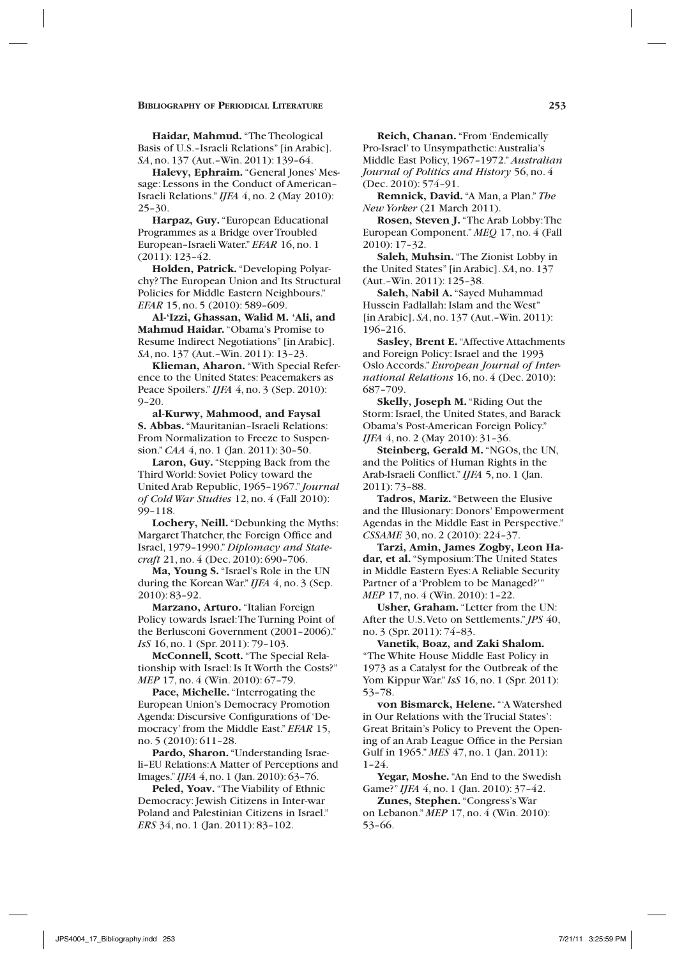**Haidar, Mahmud.** "The Theological Basis of U.S.–Israeli Relations" [in Arabic]. *SA*, no. 137 (Aut.–Win. 2011): 139–64.

**Halevy, Ephraim.** "General Jones' Message: Lessons in the Conduct of American– Israeli Relations." *IJFA* 4, no. 2 (May 2010): 25–30.

**Harpaz, Guy.** "European Educational Programmes as a Bridge over Troubled European–Israeli Water." *EFAR* 16, no. 1 (2011): 123–42.

**Holden, Patrick.** "Developing Polyarchy? The European Union and Its Structural Policies for Middle Eastern Neighbours." *EFAR* 15, no. 5 (2010): 589–609.

**Al-'Izzi, Ghassan, Walid M. 'Ali, and Mahmud Haidar.** "Obama's Promise to Resume Indirect Negotiations" [in Arabic]. *SA*, no. 137 (Aut.–Win. 2011): 13–23.

**Klieman, Aharon.** "With Special Reference to the United States: Peacemakers as Peace Spoilers." *IJFA* 4, no. 3 (Sep. 2010): 9–20.

**al-Kurwy, Mahmood, and Faysal S. Abbas.** "Mauritanian–Israeli Relations: From Normalization to Freeze to Suspension." *CAA* 4, no. 1 (Jan. 2011): 30–50.

**Laron, Guy.** "Stepping Back from the Third World: Soviet Policy toward the United Arab Republic, 1965–1967." *Journal of Cold War Studies* 12, no. 4 (Fall 2010): 99–118.

**Lochery, Neill.** "Debunking the Myths: Margaret Thatcher, the Foreign Office and Israel, 1979–1990." *Diplomacy and Statecraft* 21, no. 4 (Dec. 2010): 690–706.

**Ma, Young S.** "Israel's Role in the UN during the Korean War." *IJFA* 4, no. 3 (Sep. 2010): 83–92.

**Marzano, Arturo.** "Italian Foreign Policy towards Israel: The Turning Point of the Berlusconi Government (2001–2006)." *IsS* 16, no. 1 (Spr. 2011): 79–103.

**McConnell, Scott.** "The Special Relationship with Israel: Is It Worth the Costs?" *MEP* 17, no. 4 (Win. 2010): 67–79.

**Pace, Michelle.** "Interrogating the European Union's Democracy Promotion Agenda: Discursive Configurations of 'Democracy' from the Middle East." *EFAR* 15, no. 5 (2010): 611–28.

**Pardo, Sharon.** "Understanding Israeli–EU Relations: A Matter of Perceptions and Images." *IJFA* 4, no. 1 (Jan. 2010): 63–76.

**Peled, Yoav.** "The Viability of Ethnic Democracy: Jewish Citizens in Inter-war Poland and Palestinian Citizens in Israel." *ERS* 34, no. 1 (Jan. 2011): 83–102.

**Reich, Chanan.** "From 'Endemically Pro-Israel' to Unsympathetic: Australia's Middle East Policy, 1967–1972." *Australian Journal of Politics and History* 56, no. 4 (Dec. 2010): 574–91.

**Remnick, David.** "A Man, a Plan." *The New Yorker* (21 March 2011).

**Rosen, Steven J.** "The Arab Lobby: The European Component." *MEQ* 17, no. 4 (Fall 2010): 17–32.

**Saleh, Muhsin.** "The Zionist Lobby in the United States" [in Arabic]. *SA*, no. 137 (Aut.–Win. 2011): 125–38.

**Saleh, Nabil A.** "Sayed Muhammad Hussein Fadlallah: Islam and the West" [in Arabic]. *SA*, no. 137 (Aut.–Win. 2011): 196–216.

**Sasley, Brent E.** "Affective Attachments and Foreign Policy: Israel and the 1993 Oslo Accords." *European Journal of International Relations* 16, no. 4 (Dec. 2010): 687–709.

**Skelly, Joseph M.** "Riding Out the Storm: Israel, the United States, and Barack Obama's Post-American Foreign Policy." *IJFA* 4, no. 2 (May 2010): 31–36.

**Steinberg, Gerald M.** "NGOs, the UN, and the Politics of Human Rights in the Arab-Israeli Conflict." *IJFA* 5, no. 1 (Jan. 2011): 73–88.

**Tadros, Mariz.** "Between the Elusive and the Illusionary: Donors' Empowerment Agendas in the Middle East in Perspective." *CSSAME* 30, no. 2 (2010): 224–37.

**Tarzi, Amin, James Zogby, Leon Hadar, et al.** "Symposium: The United States in Middle Eastern Eyes: A Reliable Security Partner of a 'Problem to be Managed?'" *MEP* 17, no. 4 (Win. 2010): 1–22.

**Usher, Graham.** "Letter from the UN: After the U.S. Veto on Settlements." *JPS* 40, no. 3 (Spr. 2011): 74–83.

**Vanetik, Boaz, and Zaki Shalom.** "The White House Middle East Policy in 1973 as a Catalyst for the Outbreak of the Yom Kippur War." *IsS* 16, no. 1 (Spr. 2011): 53–78.

**von Bismarck, Helene.** "'A Watershed in Our Relations with the Trucial States': Great Britain's Policy to Prevent the Opening of an Arab League Office in the Persian Gulf in 1965." *MES* 47, no. 1 (Jan. 2011): 1–24.

**Yegar, Moshe.** "An End to the Swedish Game?" *IJFA* 4, no. 1 (Jan. 2010): 37–42.

**Zunes, Stephen.** "Congress's War on Lebanon." *MEP* 17, no. 4 (Win. 2010): 53–66.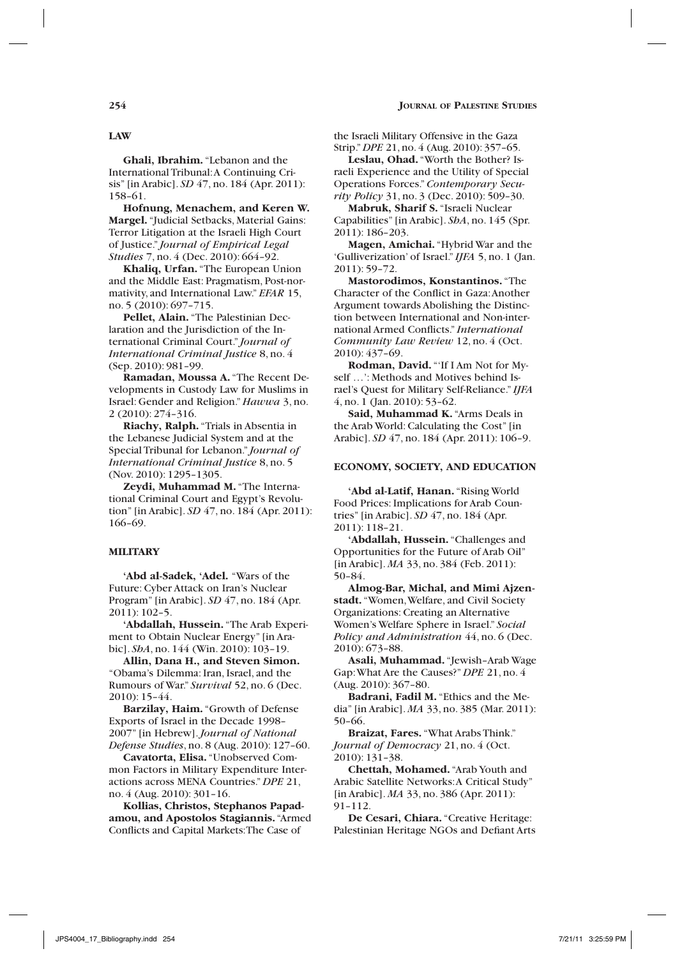**Ghali, Ibrahim.** "Lebanon and the International Tribunal: A Continuing Crisis" [in Arabic]. *SD* 47, no. 184 (Apr. 2011): 158–61.

**Hofnung, Menachem, and Keren W. Margel.** "Judicial Setbacks, Material Gains: Terror Litigation at the Israeli High Court of Justice." *Journal of Empirical Legal Studies* 7, no. 4 (Dec. 2010): 664–92.

**Khaliq, Urfan.** "The European Union and the Middle East: Pragmatism, Post-normativity, and International Law." *EFAR* 15, no. 5 (2010): 697–715.

**Pellet, Alain.** "The Palestinian Declaration and the Jurisdiction of the International Criminal Court." *Journal of International Criminal Justice* 8, no. 4 (Sep. 2010): 981–99.

**Ramadan, Moussa A.** "The Recent Developments in Custody Law for Muslims in Israel: Gender and Religion." *Hawwa* 3, no. 2 (2010): 274–316.

**Riachy, Ralph.** "Trials in Absentia in the Lebanese Judicial System and at the Special Tribunal for Lebanon." *Journal of International Criminal Justice* 8, no. 5 (Nov. 2010): 1295–1305.

**Zeydi, Muhammad M.** "The International Criminal Court and Egypt's Revolution" [in Arabic]. *SD* 47, no. 184 (Apr. 2011): 166–69.

### **Military**

**'Abd al-Sadek, 'Adel.** "Wars of the Future: Cyber Attack on Iran's Nuclear Program" [in Arabic]. *SD* 47, no. 184 (Apr. 2011): 102–5.

**'Abdallah, Hussein.** "The Arab Experiment to Obtain Nuclear Energy" [in Arabic]. *ShA*, no. 144 (Win. 2010): 103–19.

**Allin, Dana H., and Steven Simon.** "Obama's Dilemma: Iran, Israel, and the Rumours of War." *Survival* 52, no. 6 (Dec. 2010): 15–44.

**Barzilay, Haim.** "Growth of Defense Exports of Israel in the Decade 1998– 2007" [in Hebrew]. *Journal of National Defense Studies*, no. 8 (Aug. 2010): 127–60.

**Cavatorta, Elisa.** "Unobserved Common Factors in Military Expenditure Interactions across MENA Countries." *DPE* 21, no. 4 (Aug. 2010): 301–16.

**Kollias, Christos, Stephanos Papadamou, and Apostolos Stagiannis.** "Armed Conflicts and Capital Markets: The Case of

the Israeli Military Offensive in the Gaza Strip." *DPE* 21, no. 4 (Aug. 2010): 357–65.

**Leslau, Ohad.** "Worth the Bother? Israeli Experience and the Utility of Special Operations Forces." *Contemporary Security Policy* 31, no. 3 (Dec. 2010): 509–30.

**Mabruk, Sharif S.** "Israeli Nuclear Capabilities" [in Arabic]. *ShA*, no. 145 (Spr. 2011): 186–203.

**Magen, Amichai.** "Hybrid War and the 'Gulliverization' of Israel." *IJFA* 5, no. 1 (Jan. 2011): 59–72.

**Mastorodimos, Konstantinos.** "The Character of the Conflict in Gaza: Another Argument towards Abolishing the Distinction between International and Non-international Armed Conflicts." *International Community Law Review* 12, no. 4 (Oct. 2010): 437–69.

**Rodman, David.** "'If I Am Not for Myself …': Methods and Motives behind Israel's Quest for Military Self-Reliance." *IJFA* 4, no. 1 (Jan. 2010): 53–62.

**Said, Muhammad K.** "Arms Deals in the Arab World: Calculating the Cost" [in Arabic]. *SD* 47, no. 184 (Apr. 2011): 106–9.

### **Economy, Society, and Education**

**'Abd al-Latif, Hanan.** "Rising World Food Prices: Implications for Arab Countries" [in Arabic]. *SD* 47, no. 184 (Apr. 2011): 118–21.

**'Abdallah, Hussein.** "Challenges and Opportunities for the Future of Arab Oil" [in Arabic]. *MA* 33, no. 384 (Feb. 2011): 50–84.

**Almog-Bar, Michal, and Mimi Ajzenstadt.** "Women, Welfare, and Civil Society Organizations: Creating an Alternative Women's Welfare Sphere in Israel." *Social Policy and Administration* 44, no. 6 (Dec. 2010): 673–88.

**Asali, Muhammad.** "Jewish–Arab Wage Gap: What Are the Causes?" *DPE* 21, no. 4 (Aug. 2010): 367–80.

**Badrani, Fadil M.** "Ethics and the Media" [in Arabic]. *MA* 33, no. 385 (Mar. 2011): 50–66.

**Braizat, Fares.** "What Arabs Think." *Journal of Democracy* 21, no. 4 (Oct. 2010): 131–38.

**Chettah, Mohamed.** "Arab Youth and Arabic Satellite Networks: A Critical Study" [in Arabic]. *MA* 33, no. 386 (Apr. 2011): 91–112.

**De Cesari, Chiara.** "Creative Heritage: Palestinian Heritage NGOs and Defiant Arts

**Law**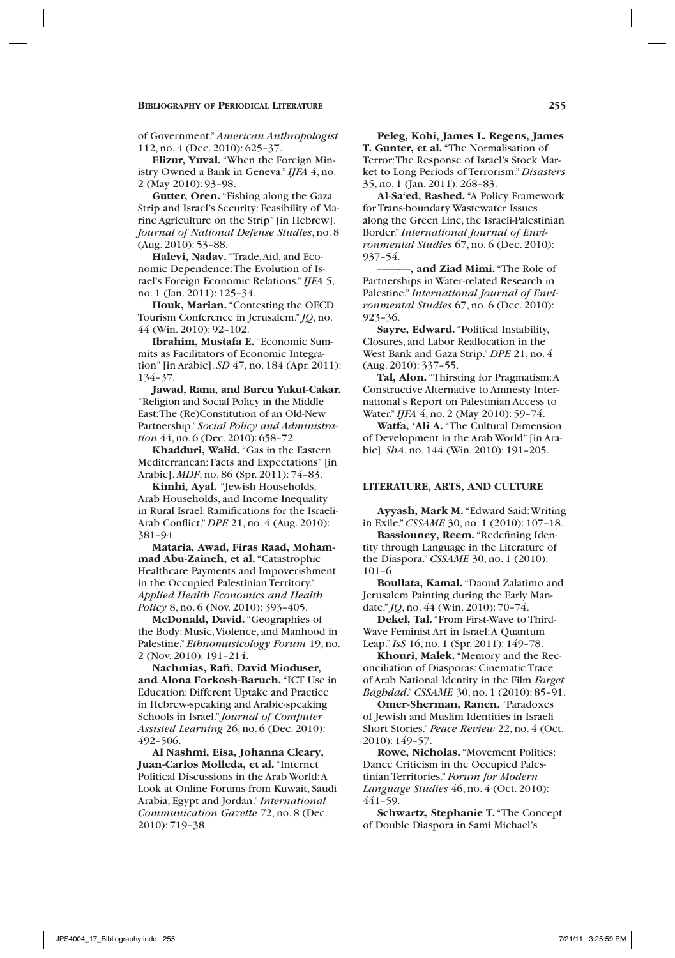of Government." *American Anthropologist* 112, no. 4 (Dec. 2010): 625–37.

**Elizur, Yuval.** "When the Foreign Ministry Owned a Bank in Geneva." *IJFA* 4, no. 2 (May 2010): 93–98.

**Gutter, Oren.** "Fishing along the Gaza Strip and Israel's Security: Feasibility of Marine Agriculture on the Strip" [in Hebrew]. *Journal of National Defense Studies*, no. 8 (Aug. 2010): 53–88.

**Halevi, Nadav.** "Trade, Aid, and Economic Dependence: The Evolution of Israel's Foreign Economic Relations." *IJFA* 5, no. 1 (Jan. 2011): 125–34.

**Houk, Marian.** "Contesting the OECD Tourism Conference in Jerusalem." *JQ*, no. 44 (Win. 2010): 92–102.

**Ibrahim, Mustafa E.** "Economic Summits as Facilitators of Economic Integration" [in Arabic]. *SD* 47, no. 184 (Apr. 2011): 134–37.

**Jawad, Rana, and Burcu Yakut-Cakar.**  "Religion and Social Policy in the Middle East: The (Re)Constitution of an Old-New Partnership." *Social Policy and Administration* 44, no. 6 (Dec. 2010): 658–72.

**Khadduri, Walid.** "Gas in the Eastern Mediterranean: Facts and Expectations" [in Arabic]. *MDF*, no. 86 (Spr. 2011): 74–83.

**Kimhi, Ayal.** "Jewish Households, Arab Households, and Income Inequality in Rural Israel: Ramifications for the Israeli-Arab Conflict." *DPE* 21, no. 4 (Aug. 2010): 381–94.

**Mataria, Awad, Firas Raad, Mohammad Abu-Zaineh, et al.** "Catastrophic Healthcare Payments and Impoverishment in the Occupied Palestinian Territory." *Applied Health Economics and Health Policy* 8, no. 6 (Nov. 2010): 393–405.

**McDonald, David.** "Geographies of the Body: Music, Violence, and Manhood in Palestine." *Ethnomusicology Forum* 19, no. 2 (Nov. 2010): 191–214.

**Nachmias, Rafi, David Mioduser, and Alona Forkosh-Baruch.** "ICT Use in Education: Different Uptake and Practice in Hebrew-speaking and Arabic-speaking Schools in Israel." *Journal of Computer Assisted Learning* 26, no. 6 (Dec. 2010): 492–506.

**Al Nashmi, Eisa, Johanna Cleary, Juan-Carlos Molleda, et al.** "Internet Political Discussions in the Arab World: A Look at Online Forums from Kuwait, Saudi Arabia, Egypt and Jordan." *International Communication Gazette* 72, no. 8 (Dec. 2010): 719–38.

**Peleg, Kobi, James L. Regens, James T. Gunter, et al.** "The Normalisation of Terror: The Response of Israel's Stock Market to Long Periods of Terrorism." *Disasters* 35, no. 1 (Jan. 2011): 268–83.

**Al-Sa'ed, Rashed.** "A Policy Framework for Trans-boundary Wastewater Issues along the Green Line, the Israeli-Palestinian Border." *International Journal of Environmental Studies* 67, no. 6 (Dec. 2010): 937–54.

**———, and Ziad Mimi.** "The Role of Partnerships in Water-related Research in Palestine." *International Journal of Environmental Studies* 67, no. 6 (Dec. 2010): 923–36.

**Sayre, Edward.** "Political Instability, Closures, and Labor Reallocation in the West Bank and Gaza Strip." *DPE* 21, no. 4 (Aug. 2010): 337–55.

**Tal, Alon.** "Thirsting for Pragmatism: A Constructive Alternative to Amnesty International's Report on Palestinian Access to Water." *IJFA* 4, no. 2 (May 2010): 59–74.

**Watfa, 'Ali A.** "The Cultural Dimension of Development in the Arab World" [in Arabic]. *ShA*, no. 144 (Win. 2010): 191–205.

#### **Literature, Arts, and culture**

**Ayyash, Mark M.** "Edward Said: Writing in Exile." *CSSAME* 30, no. 1 (2010): 107–18.

**Bassiouney, Reem.** "Redefining Identity through Language in the Literature of the Diaspora." *CSSAME* 30, no. 1 (2010): 101–6.

**Boullata, Kamal.** "Daoud Zalatimo and Jerusalem Painting during the Early Mandate." *JQ*, no. 44 (Win. 2010): 70–74.

**Dekel, Tal.** "From First-Wave to Third-Wave Feminist Art in Israel: A Quantum Leap." *IsS* 16, no. 1 (Spr. 2011): 149–78.

**Khouri, Malek.** "Memory and the Reconciliation of Diasporas: Cinematic Trace of Arab National Identity in the Film *Forget Baghdad*." *CSSAME* 30, no. 1 (2010): 85–91.

**Omer-Sherman, Ranen.** "Paradoxes of Jewish and Muslim Identities in Israeli Short Stories." *Peace Review* 22, no. 4 (Oct. 2010): 149–57.

**Rowe, Nicholas.** "Movement Politics: Dance Criticism in the Occupied Palestinian Territories." *Forum for Modern Language Studies* 46, no. 4 (Oct. 2010): 441–59.

**Schwartz, Stephanie T.** "The Concept of Double Diaspora in Sami Michael's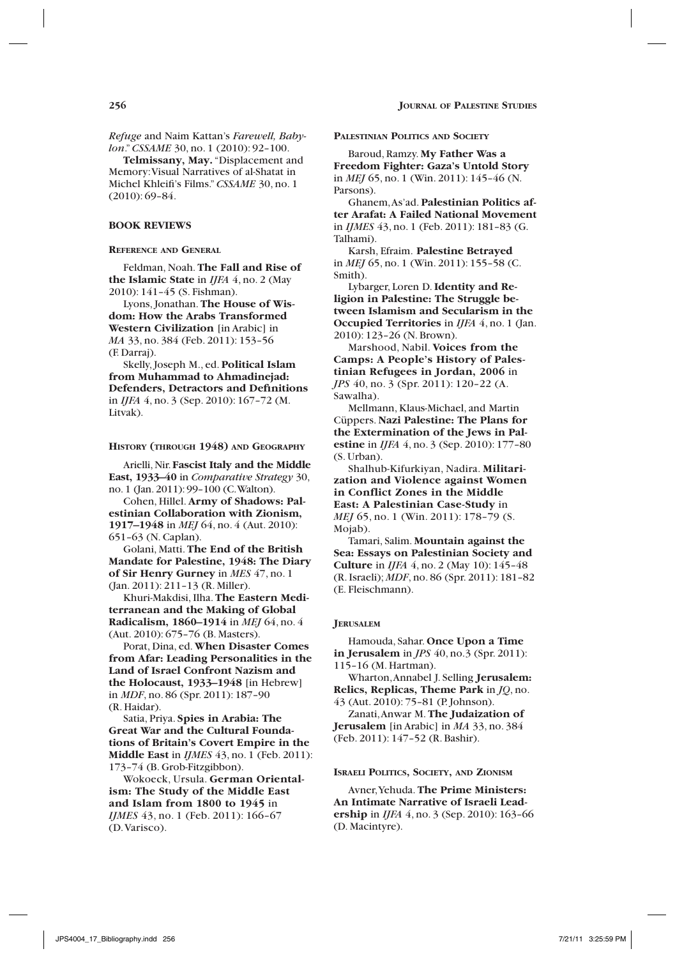*Refuge* and Naim Kattan's *Farewell, Babylon*." *CSSAME* 30, no. 1 (2010): 92–100.

**Telmissany, May.** "Displacement and Memory: Visual Narratives of al-Shatat in Michel Khleifi's Films." *CSSAME* 30, no. 1 (2010): 69–84.

### **Book Reviews**

**Reference and General**

Feldman, Noah. **The Fall and Rise of the Islamic State** in *IJFA* 4, no. 2 (May 2010): 141–45 (S. Fishman).

Lyons, Jonathan. **The House of Wisdom: How the Arabs Transformed Western Civilization** [in Arabic] in *MA* 33, no. 384 (Feb. 2011): 153–56 (F. Darraj).

Skelly, Joseph M., ed. **Political Islam from Muhammad to Ahmadinejad: Defenders, Detractors and Definitions** in *IJFA* 4, no. 3 (Sep. 2010): 167–72 (M. Litvak).

#### **History (through 1948) and Geography**

Arielli, Nir. **Fascist Italy and the Middle East, 1933–40** in *Comparative Strategy* 30, no. 1 (Jan. 2011): 99–100 (C. Walton).

Cohen, Hillel. **Army of Shadows: Palestinian Collaboration with Zionism, 1917–1948** in *MEJ* 64, no. 4 (Aut. 2010): 651–63 (N. Caplan).

Golani, Matti. **The End of the British Mandate for Palestine, 1948: The Diary of Sir Henry Gurney** in *MES* 47, no. 1 (Jan. 2011): 211–13 (R. Miller).

Khuri-Makdisi, Ilha. **The Eastern Mediterranean and the Making of Global Radicalism, 1860–1914** in *MEJ* 64, no. 4 (Aut. 2010): 675–76 (B. Masters).

Porat, Dina, ed. **When Disaster Comes from Afar: Leading Personalities in the Land of Israel Confront Nazism and the Holocaust, 1933–1948** [in Hebrew] in *MDF*, no. 86 (Spr. 2011): 187–90 (R. Haidar).

Satia, Priya. **Spies in Arabia: The Great War and the Cultural Foundations of Britain's Covert Empire in the Middle East** in *IJMES* 43, no. 1 (Feb. 2011): 173–74 (B. Grob-Fitzgibbon).

Wokoeck, Ursula. **German Orientalism: The Study of the Middle East and Islam from 1800 to 1945** in *IJMES* 43, no. 1 (Feb. 2011): 166-67 (D. Varisco).

**Palestinian Politics and Society**

Baroud, Ramzy. **My Father Was a Freedom Fighter: Gaza's Untold Story** in *MEJ* 65, no. 1 (Win. 2011): 145–46 (N. Parsons).

Ghanem, As'ad. **Palestinian Politics after Arafat: A Failed National Movement** in *IJMES* 43, no. 1 (Feb. 2011): 181–83 (G. Talhami).

Karsh, Efraim. **Palestine Betrayed** in *MEJ* 65, no. 1 (Win. 2011): 155–58 (C. Smith).

Lybarger, Loren D. **Identity and Religion in Palestine: The Struggle between Islamism and Secularism in the Occupied Territories** in *IJFA* 4, no. 1 (Jan. 2010): 123–26 (N. Brown).

Marshood, Nabil. **Voices from the Camps: A People's History of Palestinian Refugees in Jordan, 2006** in *JPS* 40, no. 3 (Spr. 2011): 120–22 (A. Sawalha).

Mellmann, Klaus-Michael, and Martin Cüppers. **Nazi Palestine: The Plans for the Extermination of the Jews in Palestine** in *IJFA* 4, no. 3 (Sep. 2010): 177–80 (S. Urban).

Shalhub-Kifurkiyan, Nadira. **Militarization and Violence against Women in Conflict Zones in the Middle East: A Palestinian Case-Study** in *MEJ* 65, no. 1 (Win. 2011): 178–79 (S. Mojab).

Tamari, Salim. **Mountain against the Sea: Essays on Palestinian Society and Culture** in *IJFA* 4, no. 2 (May 10): 145–48 (R. Israeli); *MDF*, no. 86 (Spr. 2011): 181–82 (E. Fleischmann).

#### **Jerusalem**

Hamouda, Sahar. **Once Upon a Time in Jerusalem** in *JPS* 40, no.3 (Spr. 2011): 115–16 (M. Hartman).

Wharton, Annabel J. Selling **Jerusalem: Relics, Replicas, Theme Park** in *JQ*, no. 43 (Aut. 2010): 75–81 (P. Johnson).

Zanati, Anwar M. **The Judaization of Jerusalem** [in Arabic] in *MA* 33, no. 384 (Feb. 2011): 147–52 (R. Bashir).

#### **Israeli Politics, Society, and Zionism**

Avner, Yehuda. **The Prime Ministers: An Intimate Narrative of Israeli Leadership** in *IJFA* 4, no. 3 (Sep. 2010): 163–66 (D. Macintyre).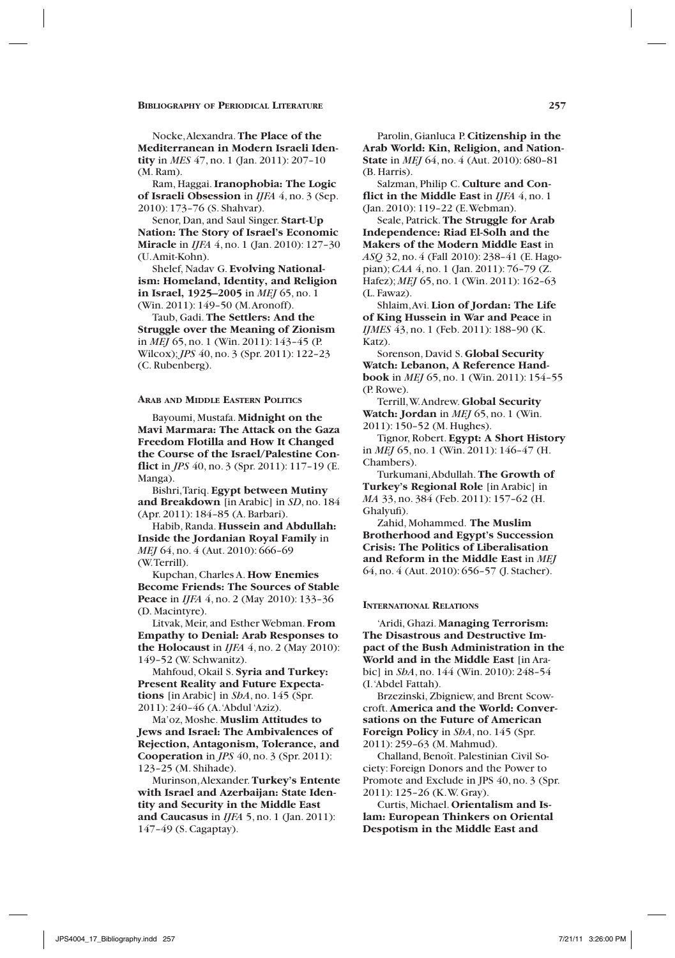Nocke, Alexandra. **The Place of the Mediterranean in Modern Israeli Identity** in *MES* 47, no. 1 (Jan. 2011): 207–10 (M. Ram).

Ram, Haggai. **Iranophobia: The Logic of Israeli Obsession** in *IJFA* 4, no. 3 (Sep. 2010): 173–76 (S. Shahvar).

Senor, Dan, and Saul Singer. **Start-Up Nation: The Story of Israel's Economic Miracle** in *IJFA* 4, no. 1 (Jan. 2010): 127–30 (U. Amit-Kohn).

Shelef, Nadav G. **Evolving Nationalism: Homeland, Identity, and Religion in Israel, 1925–2005** in *MEJ* 65, no. 1 (Win. 2011): 149–50 (M. Aronoff).

Taub, Gadi. **The Settlers: And the Struggle over the Meaning of Zionism** in *MEJ* 65, no. 1 (Win. 2011): 143–45 (P. Wilcox); *JPS* 40, no. 3 (Spr. 2011): 122–23 (C. Rubenberg).

#### **Arab and Middle Eastern Politics**

Bayoumi, Mustafa. **Midnight on the Mavi Marmara: The Attack on the Gaza Freedom Flotilla and How It Changed the Course of the Israel/Palestine Conflict** in *JPS* 40, no. 3 (Spr. 2011): 117–19 (E. Manga).

Bishri, Tariq. **Egypt between Mutiny and Breakdown** [in Arabic] in *SD*, no. 184 (Apr. 2011): 184–85 (A. Barbari).

Habib, Randa. **Hussein and Abdullah: Inside the Jordanian Royal Family** in *MEJ* 64, no. 4 (Aut. 2010): 666–69 (W. Terrill).

Kupchan, Charles A. **How Enemies Become Friends: The Sources of Stable Peace** in *IJFA* 4, no. 2 (May 2010): 133–36 (D. Macintyre).

Litvak, Meir, and Esther Webman. **From Empathy to Denial: Arab Responses to the Holocaust** in *IJFA* 4, no. 2 (May 2010): 149–52 (W. Schwanitz).

Mahfoud, Okail S. **Syria and Turkey: Present Reality and Future Expectations** [in Arabic] in *ShA*, no. 145 (Spr. 2011): 240–46 (A. 'Abdul 'Aziz).

Ma'oz, Moshe. **Muslim Attitudes to Jews and Israel: The Ambivalences of Rejection, Antagonism, Tolerance, and Cooperation** in *JPS* 40, no. 3 (Spr. 2011): 123–25 (M. Shihade).

Murinson, Alexander. **Turkey's Entente with Israel and Azerbaijan: State Identity and Security in the Middle East and Caucasus** in *IJFA* 5, no. 1 (Jan. 2011): 147–49 (S. Cagaptay).

Parolin, Gianluca P. **Citizenship in the Arab World: Kin, Religion, and Nation-State** in *MEJ* 64, no. 4 (Aut. 2010): 680–81 (B. Harris).

Salzman, Philip C. **Culture and Conflict in the Middle East** in *IJFA* 4, no. 1 (Jan. 2010): 119–22 (E. Webman).

Seale, Patrick. **The Struggle for Arab Independence: Riad El-Solh and the Makers of the Modern Middle East** in *ASQ* 32, no. 4 (Fall 2010): 238–41 (E. Hagopian); *CAA* 4, no. 1 (Jan. 2011): 76–79 (Z. Hafez); *MEJ* 65, no. 1 (Win. 2011): 162–63 (L. Fawaz).

Shlaim, Avi. **Lion of Jordan: The Life of King Hussein in War and Peace** in *IJMES* 43, no. 1 (Feb. 2011): 188–90 (K. Katz).

Sorenson, David S. **Global Security Watch: Lebanon, A Reference Handbook** in *MEJ* 65, no. 1 (Win. 2011): 154–55 (P. Rowe).

Terrill, W. Andrew. **Global Security Watch: Jordan** in *MEJ* 65, no. 1 (Win. 2011): 150–52 (M. Hughes).

Tignor, Robert. **Egypt: A Short History** in *MEJ* 65, no. 1 (Win. 2011): 146–47 (H. Chambers).

Turkumani, Abdullah. **The Growth of Turkey's Regional Role** [in Arabic] in *MA* 33, no. 384 (Feb. 2011): 157–62 (H. Ghalyufi).

Zahid, Mohammed. **The Muslim Brotherhood and Egypt's Succession Crisis: The Politics of Liberalisation and Reform in the Middle East** in *MEJ* 64, no. 4 (Aut. 2010): 656–57 (J. Stacher).

#### **International Relations**

'Aridi, Ghazi. **Managing Terrorism: The Disastrous and Destructive Impact of the Bush Administration in the World and in the Middle East** [in Arabic] in *ShA*, no. 144 (Win. 2010): 248–54 (I. 'Abdel Fattah).

Brzezinski, Zbigniew, and Brent Scowcroft. **America and the World: Conversations on the Future of American Foreign Policy** in *ShA*, no. 145 (Spr. 2011): 259–63 (M. Mahmud).

Challand, Benoît. Palestinian Civil Society: Foreign Donors and the Power to Promote and Exclude in JPS 40, no. 3 (Spr. 2011): 125–26 (K. W. Gray).

Curtis, Michael. **Orientalism and Islam: European Thinkers on Oriental Despotism in the Middle East and**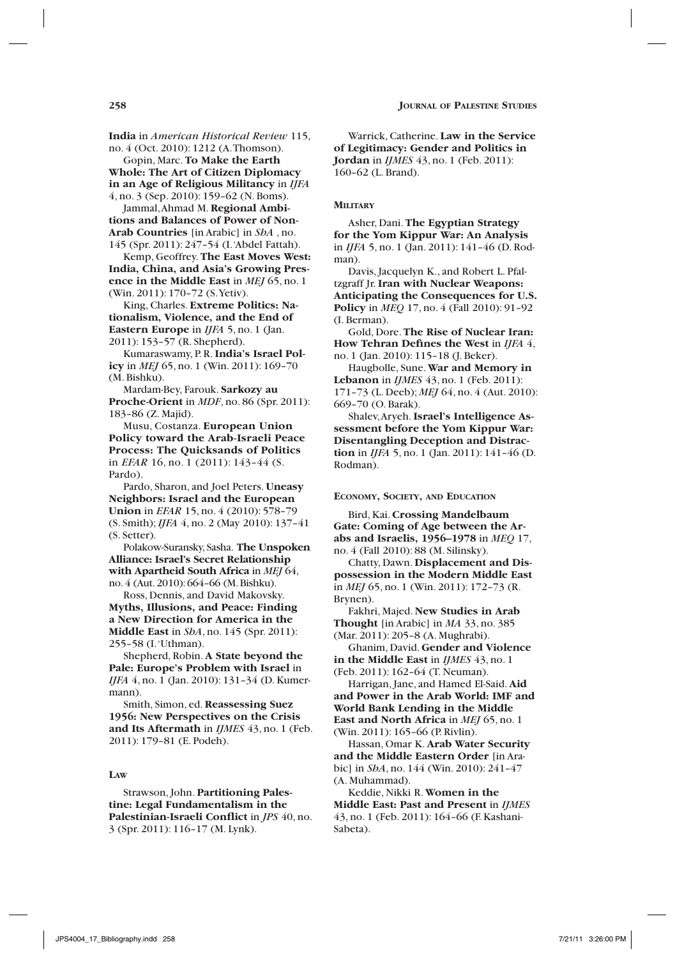**India** in *American Historical Review* 115, no. 4 (Oct. 2010): 1212 (A. Thomson).

Gopin, Marc. **To Make the Earth Whole: The Art of Citizen Diplomacy in an Age of Religious Militancy** in *IJFA* 4, no. 3 (Sep. 2010): 159–62 (N. Boms).

Jammal, Ahmad M. **Regional Ambitions and Balances of Power of Non-Arab Countries** [in Arabic] in *ShA* , no. 145 (Spr. 2011): 247–54 (I. 'Abdel Fattah).

Kemp, Geoffrey. **The East Moves West: India, China, and Asia's Growing Presence in the Middle East** in *MEJ* 65, no. 1 (Win. 2011): 170–72 (S. Yetiv).

King, Charles. **Extreme Politics: Nationalism, Violence, and the End of Eastern Europe** in *IJFA* 5, no. 1 (Jan. 2011): 153–57 (R. Shepherd).

Kumaraswamy, P. R. **India's Israel Policy** in *MEJ* 65, no. 1 (Win. 2011): 169–70 (M. Bishku).

Mardam-Bey, Farouk. **Sarkozy au Proche-Orient** in *MDF*, no. 86 (Spr. 2011): 183–86 (Z. Majid).

Musu, Costanza. **European Union Policy toward the Arab-Israeli Peace Process: The Quicksands of Politics** in *EFAR* 16, no. 1 (2011): 143–44 (S. Pardo).

Pardo, Sharon, and Joel Peters. **Uneasy Neighbors: Israel and the European Union** in *EFAR* 15, no. 4 (2010): 578–79 (S. Smith); *IJFA* 4, no. 2 (May 2010): 137–41 (S. Setter).

Polakow-Suransky, Sasha. **The Unspoken Alliance: Israel's Secret Relationship with Apartheid South Africa** in *MEJ* 64, no. 4 (Aut. 2010): 664–66 (M. Bishku).

Ross, Dennis, and David Makovsky. **Myths, Illusions, and Peace: Finding a New Direction for America in the Middle East** in *ShA*, no. 145 (Spr. 2011): 255–58 (I. 'Uthman).

Shepherd, Robin. **A State beyond the Pale: Europe's Problem with Israel** in *IJFA* 4, no. 1 (Jan. 2010): 131–34 (D. Kumermann).

Smith, Simon, ed. **Reassessing Suez 1956: New Perspectives on the Crisis and Its Aftermath** in *IJMES* 43, no. 1 (Feb. 2011): 179–81 (E. Podeh).

### **Law**

Strawson, John. **Partitioning Palestine: Legal Fundamentalism in the Palestinian-Israeli Conflict** in *JPS* 40, no. 3 (Spr. 2011): 116–17 (M. Lynk).

Warrick, Catherine. **Law in the Service of Legitimacy: Gender and Politics in Jordan** in *IJMES* 43, no. 1 (Feb. 2011): 160–62 (L. Brand).

### **Military**

Asher, Dani. **The Egyptian Strategy for the Yom Kippur War: An Analysis** in *IJFA* 5, no. 1 (Jan. 2011): 141–46 (D. Rodman).

Davis, Jacquelyn K., and Robert L. Pfaltzgraff Jr. **Iran with Nuclear Weapons: Anticipating the Consequences for U.S. Policy** in *MEQ* 17, no. 4 (Fall 2010): 91–92 (I. Berman).

Gold, Dore. **The Rise of Nuclear Iran: How Tehran Defines the West** in *IJFA* 4, no. 1 (Jan. 2010): 115–18 (J. Beker).

Haugbolle, Sune. **War and Memory in Lebanon** in *IJMES* 43, no. 1 (Feb. 2011): 171–73 (L. Deeb); *MEJ* 64, no. 4 (Aut. 2010): 669–70 (O. Barak).

Shalev, Aryeh. **Israel's Intelligence Assessment before the Yom Kippur War: Disentangling Deception and Distraction** in *IJFA* 5, no. 1 (Jan. 2011): 141–46 (D. Rodman).

**Economy, Society, and Education**

Bird, Kai. **Crossing Mandelbaum Gate: Coming of Age between the Arabs and Israelis, 1956–1978** in *MEQ* 17, no. 4 (Fall 2010): 88 (M. Silinsky).

Chatty, Dawn. **Displacement and Dispossession in the Modern Middle East** in *MEJ* 65, no. 1 (Win. 2011): 172–73 (R. Brynen).

Fakhri, Majed. **New Studies in Arab Thought** [in Arabic] in *MA* 33, no. 385 (Mar. 2011): 205–8 (A. Mughrabi).

Ghanim, David. **Gender and Violence in the Middle East** in *IJMES* 43, no. 1 (Feb. 2011): 162–64 (T. Neuman).

Harrigan, Jane, and Hamed El-Said. **Aid and Power in the Arab World: IMF and World Bank Lending in the Middle East and North Africa** in *MEJ* 65, no. 1 (Win. 2011): 165–66 (P. Rivlin).

Hassan, Omar K. **Arab Water Security and the Middle Eastern Order** [in Arabic] in *ShA*, no. 144 (Win. 2010): 241–47 (A. Muhammad).

Keddie, Nikki R. **Women in the Middle East: Past and Present** in *IJMES* 43, no. 1 (Feb. 2011): 164–66 (F. Kashani-Sabeta).